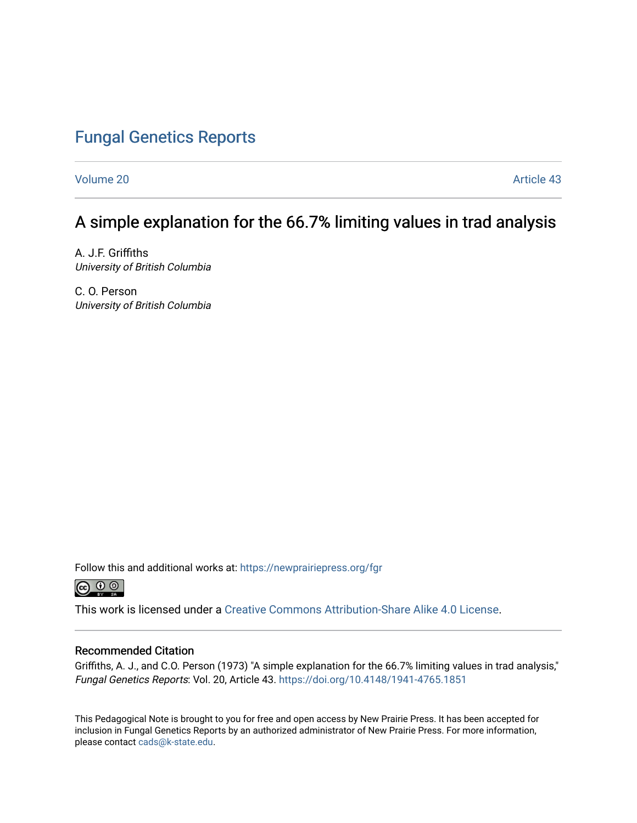### [Fungal Genetics Reports](https://newprairiepress.org/fgr)

[Volume 20](https://newprairiepress.org/fgr/vol20) Article 43

## A simple explanation for the 66.7% limiting values in trad analysis

A. J.F. Griffiths University of British Columbia

C. O. Person University of British Columbia

Follow this and additional works at: [https://newprairiepress.org/fgr](https://newprairiepress.org/fgr?utm_source=newprairiepress.org%2Ffgr%2Fvol20%2Fiss1%2F43&utm_medium=PDF&utm_campaign=PDFCoverPages) 



This work is licensed under a [Creative Commons Attribution-Share Alike 4.0 License.](https://creativecommons.org/licenses/by-sa/4.0/)

#### Recommended Citation

Griffiths, A. J., and C.O. Person (1973) "A simple explanation for the 66.7% limiting values in trad analysis," Fungal Genetics Reports: Vol. 20, Article 43.<https://doi.org/10.4148/1941-4765.1851>

This Pedagogical Note is brought to you for free and open access by New Prairie Press. It has been accepted for inclusion in Fungal Genetics Reports by an authorized administrator of New Prairie Press. For more information, please contact [cads@k-state.edu.](mailto:cads@k-state.edu)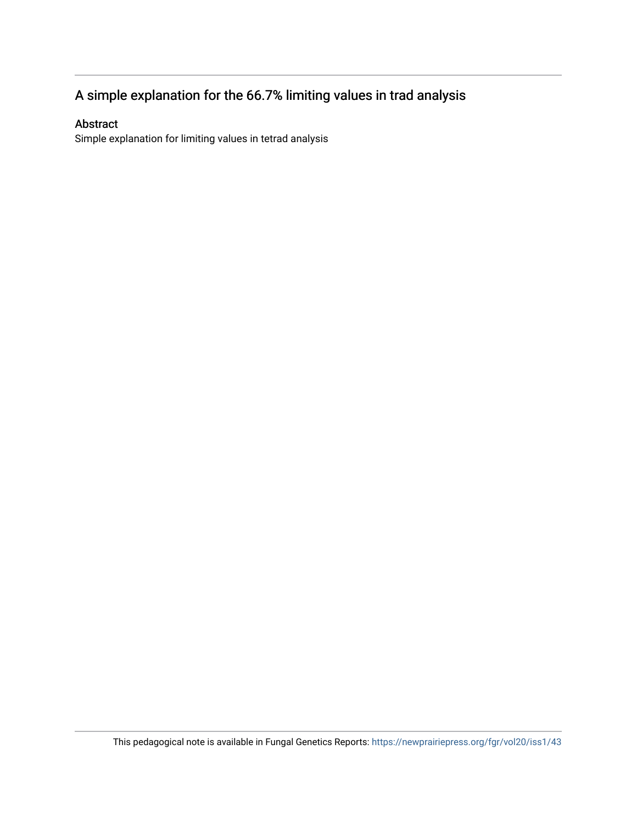# A simple explanation for the 66.7% limiting values in trad analysis

### Abstract

Simple explanation for limiting values in tetrad analysis